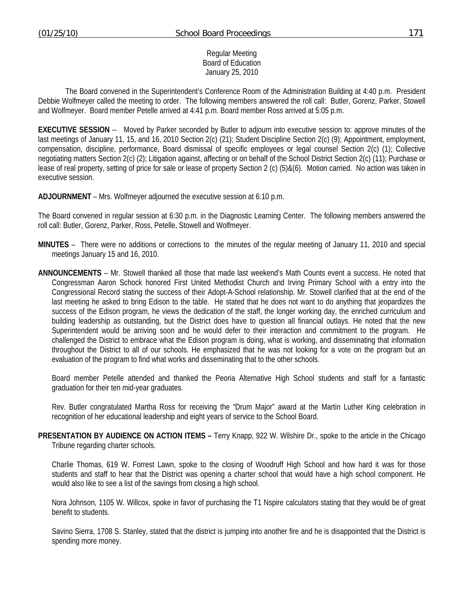#### Regular Meeting Board of Education January 25, 2010

 The Board convened in the Superintendent's Conference Room of the Administration Building at 4:40 p.m. President Debbie Wolfmeyer called the meeting to order. The following members answered the roll call: Butler, Gorenz, Parker, Stowell and Wolfmeyer. Board member Petelle arrived at 4:41 p.m. Board member Ross arrived at 5:05 p.m.

**EXECUTIVE SESSION** -- Moved by Parker seconded by Butler to adjourn into executive session to: approve minutes of the last meetings of January 11, 15, and 16, 2010 Section 2(c) (21); Student Discipline Section 2(c) (9); Appointment, employment, compensation, discipline, performance, Board dismissal of specific employees or legal counsel Section 2(c) (1); Collective negotiating matters Section 2(c) (2); Litigation against, affecting or on behalf of the School District Section 2(c) (11); Purchase or lease of real property, setting of price for sale or lease of property Section 2 (c) (5)&(6). Motion carried. No action was taken in executive session.

**ADJOURNMENT** – Mrs. Wolfmeyer adjourned the executive session at 6:10 p.m.

The Board convened in regular session at 6:30 p.m. in the Diagnostic Learning Center. The following members answered the roll call: Butler, Gorenz, Parker, Ross, Petelle, Stowell and Wolfmeyer.

- **MINUTES** There were no additions or corrections to the minutes of the regular meeting of January 11, 2010 and special meetings January 15 and 16, 2010.
- **ANNOUNCEMENTS** Mr. Stowell thanked all those that made last weekend's Math Counts event a success. He noted that Congressman Aaron Schock honored First United Methodist Church and Irving Primary School with a entry into the Congressional Record stating the success of their Adopt-A-School relationship. Mr. Stowell clarified that at the end of the last meeting he asked to bring Edison to the table. He stated that he does not want to do anything that jeopardizes the success of the Edison program, he views the dedication of the staff, the longer working day, the enriched curriculum and building leadership as outstanding, but the District does have to question all financial outlays. He noted that the new Superintendent would be arriving soon and he would defer to their interaction and commitment to the program. He challenged the District to embrace what the Edison program is doing, what is working, and disseminating that information throughout the District to all of our schools. He emphasized that he was not looking for a vote on the program but an evaluation of the program to find what works and disseminating that to the other schools.

 Board member Petelle attended and thanked the Peoria Alternative High School students and staff for a fantastic graduation for their ten mid-year graduates.

 Rev. Butler congratulated Martha Ross for receiving the "Drum Major" award at the Martin Luther King celebration in recognition of her educational leadership and eight years of service to the School Board.

**PRESENTATION BY AUDIENCE ON ACTION ITEMS –** Terry Knapp, 922 W. Wilshire Dr., spoke to the article in the Chicago Tribune regarding charter schools.

 Charlie Thomas, 619 W. Forrest Lawn, spoke to the closing of Woodruff High School and how hard it was for those students and staff to hear that the District was opening a charter school that would have a high school component. He would also like to see a list of the savings from closing a high school.

 Nora Johnson, 1105 W. Willcox, spoke in favor of purchasing the T1 Nspire calculators stating that they would be of great benefit to students.

 Savino Sierra, 1708 S. Stanley, stated that the district is jumping into another fire and he is disappointed that the District is spending more money.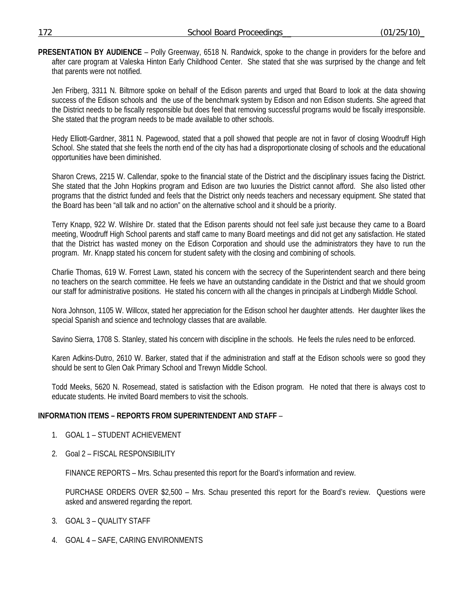**PRESENTATION BY AUDIENCE** – Polly Greenway, 6518 N. Randwick, spoke to the change in providers for the before and after care program at Valeska Hinton Early Childhood Center. She stated that she was surprised by the change and felt that parents were not notified.

 Jen Friberg, 3311 N. Biltmore spoke on behalf of the Edison parents and urged that Board to look at the data showing success of the Edison schools and the use of the benchmark system by Edison and non Edison students. She agreed that the District needs to be fiscally responsible but does feel that removing successful programs would be fiscally irresponsible. She stated that the program needs to be made available to other schools.

 Hedy Elliott-Gardner, 3811 N. Pagewood, stated that a poll showed that people are not in favor of closing Woodruff High School. She stated that she feels the north end of the city has had a disproportionate closing of schools and the educational opportunities have been diminished.

 Sharon Crews, 2215 W. Callendar, spoke to the financial state of the District and the disciplinary issues facing the District. She stated that the John Hopkins program and Edison are two luxuries the District cannot afford. She also listed other programs that the district funded and feels that the District only needs teachers and necessary equipment. She stated that the Board has been "all talk and no action" on the alternative school and it should be a priority.

 Terry Knapp, 922 W. Wilshire Dr. stated that the Edison parents should not feel safe just because they came to a Board meeting, Woodruff High School parents and staff came to many Board meetings and did not get any satisfaction. He stated that the District has wasted money on the Edison Corporation and should use the administrators they have to run the program. Mr. Knapp stated his concern for student safety with the closing and combining of schools.

 Charlie Thomas, 619 W. Forrest Lawn, stated his concern with the secrecy of the Superintendent search and there being no teachers on the search committee. He feels we have an outstanding candidate in the District and that we should groom our staff for administrative positions. He stated his concern with all the changes in principals at Lindbergh Middle School.

 Nora Johnson, 1105 W. Willcox, stated her appreciation for the Edison school her daughter attends. Her daughter likes the special Spanish and science and technology classes that are available.

Savino Sierra, 1708 S. Stanley, stated his concern with discipline in the schools. He feels the rules need to be enforced.

 Karen Adkins-Dutro, 2610 W. Barker, stated that if the administration and staff at the Edison schools were so good they should be sent to Glen Oak Primary School and Trewyn Middle School.

 Todd Meeks, 5620 N. Rosemead, stated is satisfaction with the Edison program. He noted that there is always cost to educate students. He invited Board members to visit the schools.

## **INFORMATION ITEMS – REPORTS FROM SUPERINTENDENT AND STAFF** –

- 1. GOAL 1 STUDENT ACHIEVEMENT
- 2. Goal 2 FISCAL RESPONSIBILITY

FINANCE REPORTS – Mrs. Schau presented this report for the Board's information and review.

 PURCHASE ORDERS OVER \$2,500 – Mrs. Schau presented this report for the Board's review. Questions were asked and answered regarding the report.

- 3. GOAL 3 QUALITY STAFF
- 4. GOAL 4 SAFE, CARING ENVIRONMENTS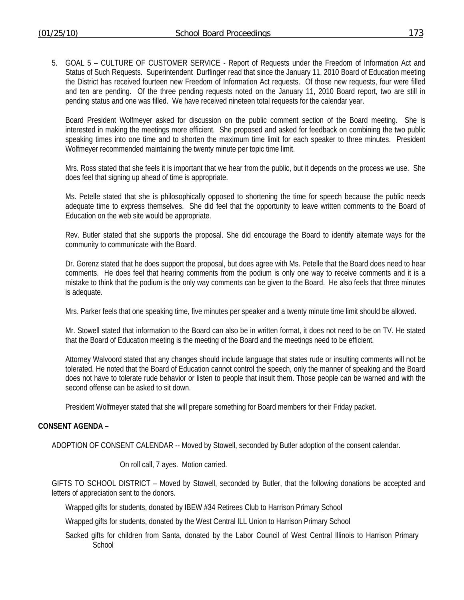5. GOAL 5 – CULTURE OF CUSTOMER SERVICE - Report of Requests under the Freedom of Information Act and Status of Such Requests. Superintendent Durflinger read that since the January 11, 2010 Board of Education meeting the District has received fourteen new Freedom of Information Act requests. Of those new requests, four were filled and ten are pending. Of the three pending requests noted on the January 11, 2010 Board report, two are still in pending status and one was filled. We have received nineteen total requests for the calendar year.

Board President Wolfmeyer asked for discussion on the public comment section of the Board meeting. She is interested in making the meetings more efficient. She proposed and asked for feedback on combining the two public speaking times into one time and to shorten the maximum time limit for each speaker to three minutes. President Wolfmeyer recommended maintaining the twenty minute per topic time limit.

Mrs. Ross stated that she feels it is important that we hear from the public, but it depends on the process we use. She does feel that signing up ahead of time is appropriate.

Ms. Petelle stated that she is philosophically opposed to shortening the time for speech because the public needs adequate time to express themselves. She did feel that the opportunity to leave written comments to the Board of Education on the web site would be appropriate.

Rev. Butler stated that she supports the proposal. She did encourage the Board to identify alternate ways for the community to communicate with the Board.

Dr. Gorenz stated that he does support the proposal, but does agree with Ms. Petelle that the Board does need to hear comments. He does feel that hearing comments from the podium is only one way to receive comments and it is a mistake to think that the podium is the only way comments can be given to the Board. He also feels that three minutes is adequate.

Mrs. Parker feels that one speaking time, five minutes per speaker and a twenty minute time limit should be allowed.

Mr. Stowell stated that information to the Board can also be in written format, it does not need to be on TV. He stated that the Board of Education meeting is the meeting of the Board and the meetings need to be efficient.

Attorney Walvoord stated that any changes should include language that states rude or insulting comments will not be tolerated. He noted that the Board of Education cannot control the speech, only the manner of speaking and the Board does not have to tolerate rude behavior or listen to people that insult them. Those people can be warned and with the second offense can be asked to sit down.

President Wolfmeyer stated that she will prepare something for Board members for their Friday packet.

#### **CONSENT AGENDA –**

ADOPTION OF CONSENT CALENDAR -- Moved by Stowell, seconded by Butler adoption of the consent calendar.

On roll call, 7 ayes. Motion carried.

GIFTS TO SCHOOL DISTRICT – Moved by Stowell, seconded by Butler, that the following donations be accepted and letters of appreciation sent to the donors.

Wrapped gifts for students, donated by IBEW #34 Retirees Club to Harrison Primary School

Wrapped gifts for students, donated by the West Central ILL Union to Harrison Primary School

Sacked gifts for children from Santa, donated by the Labor Council of West Central Illinois to Harrison Primary **School**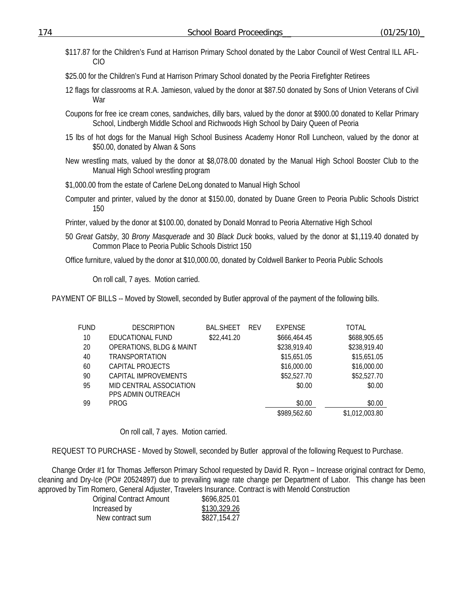\$117.87 for the Children's Fund at Harrison Primary School donated by the Labor Council of West Central ILL AFL-CIO

\$25.00 for the Children's Fund at Harrison Primary School donated by the Peoria Firefighter Retirees

- 12 flags for classrooms at R.A. Jamieson, valued by the donor at \$87.50 donated by Sons of Union Veterans of Civil War
- Coupons for free ice cream cones, sandwiches, dilly bars, valued by the donor at \$900.00 donated to Kellar Primary School, Lindbergh Middle School and Richwoods High School by Dairy Queen of Peoria
- 15 lbs of hot dogs for the Manual High School Business Academy Honor Roll Luncheon, valued by the donor at \$50.00, donated by Alwan & Sons
- New wrestling mats, valued by the donor at \$8,078.00 donated by the Manual High School Booster Club to the Manual High School wrestling program
- \$1,000.00 from the estate of Carlene DeLong donated to Manual High School
- Computer and printer, valued by the donor at \$150.00, donated by Duane Green to Peoria Public Schools District 150
- Printer, valued by the donor at \$100.00, donated by Donald Monrad to Peoria Alternative High School
- 50 *Great Gatsby*, 30 *Brony Masquerade* and 30 *Black Duck* books, valued by the donor at \$1,119.40 donated by Common Place to Peoria Public Schools District 150

Office furniture, valued by the donor at \$10,000.00, donated by Coldwell Banker to Peoria Public Schools

On roll call, 7 ayes. Motion carried.

PAYMENT OF BILLS -- Moved by Stowell, seconded by Butler approval of the payment of the following bills.

| <b>FUND</b> | <b>DESCRIPTION</b>                            | <b>BAL.SHEET</b> | <b>REV</b> | <b>EXPENSE</b> | TOTAL          |
|-------------|-----------------------------------------------|------------------|------------|----------------|----------------|
| 10          | EDUCATIONAL FUND                              | \$22,441.20      |            | \$666,464.45   | \$688,905.65   |
| 20          | <b>OPERATIONS, BLDG &amp; MAINT</b>           |                  |            | \$238,919.40   | \$238,919.40   |
| 40          | TRANSPORTATION                                |                  |            | \$15,651.05    | \$15,651.05    |
| 60          | CAPITAL PROJECTS                              |                  |            | \$16,000.00    | \$16,000.00    |
| 90          | CAPITAL IMPROVEMENTS                          |                  |            | \$52,527.70    | \$52,527.70    |
| 95          | MID CENTRAL ASSOCIATION<br>PPS ADMIN OUTREACH |                  |            | \$0.00         | \$0.00         |
| 99          | <b>PROG</b>                                   |                  |            | \$0.00         | \$0.00         |
|             |                                               |                  |            | \$989,562.60   | \$1,012,003.80 |

On roll call, 7 ayes. Motion carried.

REQUEST TO PURCHASE - Moved by Stowell, seconded by Butler approval of the following Request to Purchase.

Change Order #1 for Thomas Jefferson Primary School requested by David R. Ryon – Increase original contract for Demo, cleaning and Dry-Ice (PO# 20524897) due to prevailing wage rate change per Department of Labor. This change has been approved by Tim Romero, General Adjuster, Travelers Insurance. Contract is with Menold Construction

| <b>Original Contract Amount</b> | \$696,825.01 |
|---------------------------------|--------------|
| Increased by                    | \$130,329.26 |
| New contract sum                | \$827,154.27 |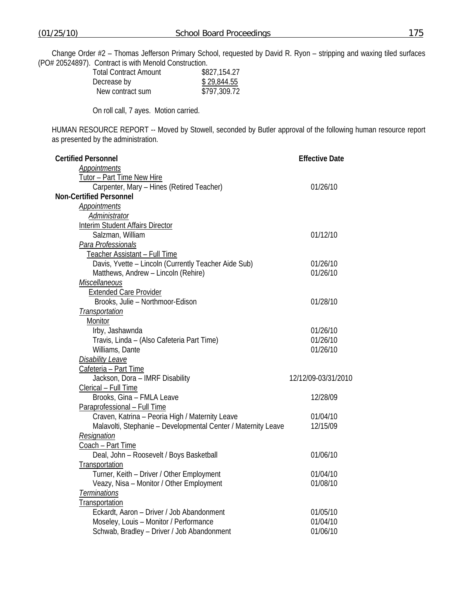Change Order #2 – Thomas Jefferson Primary School, requested by David R. Ryon – stripping and waxing tiled surfaces (PO# 20524897). Contract is with Menold Construction.

| <b>Total Contract Amount</b> | \$827,154.27 |
|------------------------------|--------------|
| Decrease by                  | \$29,844.55  |
| New contract sum             | \$797,309.72 |

On roll call, 7 ayes. Motion carried.

HUMAN RESOURCE REPORT -- Moved by Stowell, seconded by Butler approval of the following human resource report as presented by the administration.

| <b>Certified Personnel</b>                                    | <b>Effective Date</b> |  |
|---------------------------------------------------------------|-----------------------|--|
| Appointments                                                  |                       |  |
| Tutor - Part Time New Hire                                    |                       |  |
| Carpenter, Mary - Hines (Retired Teacher)                     | 01/26/10              |  |
| <b>Non-Certified Personnel</b>                                |                       |  |
| Appointments                                                  |                       |  |
| <b>Administrator</b>                                          |                       |  |
| <b>Interim Student Affairs Director</b>                       |                       |  |
| Salzman, William                                              | 01/12/10              |  |
| Para Professionals                                            |                       |  |
| Teacher Assistant - Full Time                                 |                       |  |
| Davis, Yvette - Lincoln (Currently Teacher Aide Sub)          | 01/26/10              |  |
| Matthews, Andrew - Lincoln (Rehire)                           | 01/26/10              |  |
| Miscellaneous                                                 |                       |  |
| <b>Extended Care Provider</b>                                 |                       |  |
| Brooks, Julie - Northmoor-Edison                              | 01/28/10              |  |
| Transportation                                                |                       |  |
| Monitor                                                       |                       |  |
| Irby, Jashawnda                                               | 01/26/10              |  |
| Travis, Linda - (Also Cafeteria Part Time)                    | 01/26/10              |  |
| Williams, Dante                                               | 01/26/10              |  |
| <b>Disability Leave</b>                                       |                       |  |
| Cafeteria - Part Time                                         |                       |  |
| Jackson, Dora - IMRF Disability                               | 12/12/09-03/31/2010   |  |
| Clerical - Full Time                                          |                       |  |
| Brooks, Gina - FMLA Leave                                     | 12/28/09              |  |
| Paraprofessional - Full Time                                  |                       |  |
| Craven, Katrina - Peoria High / Maternity Leave               | 01/04/10              |  |
| Malavolti, Stephanie - Developmental Center / Maternity Leave | 12/15/09              |  |
| Resignation                                                   |                       |  |
| Coach - Part Time                                             |                       |  |
| Deal, John - Roosevelt / Boys Basketball                      | 01/06/10              |  |
| Transportation                                                |                       |  |
| Turner, Keith - Driver / Other Employment                     | 01/04/10              |  |
| Veazy, Nisa - Monitor / Other Employment                      | 01/08/10              |  |
| Terminations                                                  |                       |  |
| Transportation                                                |                       |  |
| Eckardt, Aaron - Driver / Job Abandonment                     | 01/05/10              |  |
| Moseley, Louis - Monitor / Performance                        | 01/04/10              |  |
| Schwab, Bradley - Driver / Job Abandonment                    | 01/06/10              |  |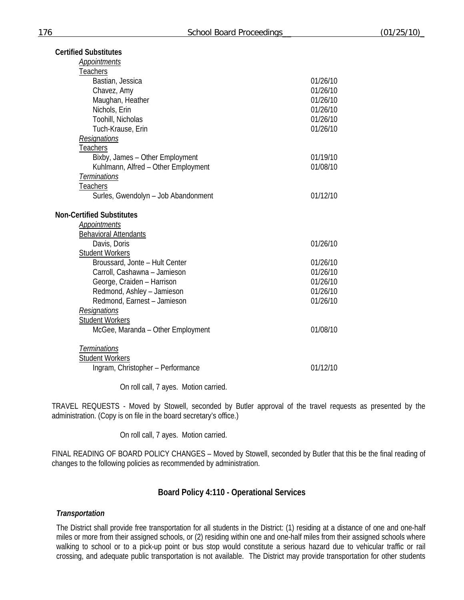| <b>Certified Substitutes</b>                  |          |
|-----------------------------------------------|----------|
| <b>Appointments</b>                           |          |
| Teachers                                      |          |
| Bastian, Jessica                              | 01/26/10 |
| Chavez, Amy                                   | 01/26/10 |
| Maughan, Heather                              | 01/26/10 |
| Nichols, Erin                                 | 01/26/10 |
| Toohill, Nicholas                             | 01/26/10 |
| Tuch-Krause, Erin                             | 01/26/10 |
| Resignations                                  |          |
| <b>Teachers</b>                               |          |
| Bixby, James - Other Employment               | 01/19/10 |
| Kuhlmann, Alfred - Other Employment           | 01/08/10 |
| Terminations                                  |          |
| Teachers                                      |          |
| Surles, Gwendolyn - Job Abandonment           | 01/12/10 |
|                                               |          |
| <b>Non-Certified Substitutes</b>              |          |
| Appointments                                  |          |
| <b>Behavioral Attendants</b>                  |          |
| Davis, Doris                                  | 01/26/10 |
| <b>Student Workers</b>                        |          |
| Broussard, Jonte - Hult Center                | 01/26/10 |
| Carroll, Cashawna - Jamieson                  | 01/26/10 |
| George, Craiden - Harrison                    | 01/26/10 |
| Redmond, Ashley - Jamieson                    | 01/26/10 |
| Redmond, Earnest - Jamieson                   | 01/26/10 |
| Resignations                                  |          |
| <b>Student Workers</b>                        |          |
| McGee, Maranda - Other Employment             | 01/08/10 |
|                                               |          |
| <b>Terminations</b><br><b>Student Workers</b> |          |
| Ingram, Christopher - Performance             | 01/12/10 |
|                                               |          |

On roll call, 7 ayes. Motion carried.

TRAVEL REQUESTS - Moved by Stowell, seconded by Butler approval of the travel requests as presented by the administration. (Copy is on file in the board secretary's office.)

On roll call, 7 ayes. Motion carried.

FINAL READING OF BOARD POLICY CHANGES – Moved by Stowell, seconded by Butler that this be the final reading of changes to the following policies as recommended by administration.

## **Board Policy 4:110 - Operational Services**

### *Transportation*

The District shall provide free transportation for all students in the District: (1) residing at a distance of one and one-half miles or more from their assigned schools, or (2) residing within one and one-half miles from their assigned schools where walking to school or to a pick-up point or bus stop would constitute a serious hazard due to vehicular traffic or rail crossing, and adequate public transportation is not available. The District may provide transportation for other students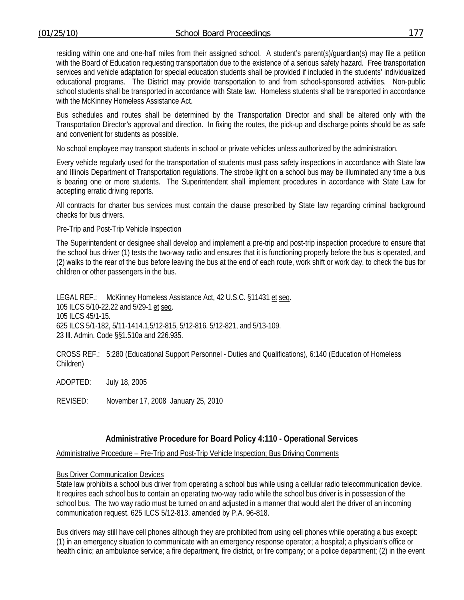residing within one and one-half miles from their assigned school. A student's parent(s)/guardian(s) may file a petition with the Board of Education requesting transportation due to the existence of a serious safety hazard. Free transportation services and vehicle adaptation for special education students shall be provided if included in the students' individualized educational programs. The District may provide transportation to and from school-sponsored activities. Non-public school students shall be transported in accordance with State law. Homeless students shall be transported in accordance with the McKinney Homeless Assistance Act.

Bus schedules and routes shall be determined by the Transportation Director and shall be altered only with the Transportation Director's approval and direction. In fixing the routes, the pick-up and discharge points should be as safe and convenient for students as possible.

No school employee may transport students in school or private vehicles unless authorized by the administration.

Every vehicle regularly used for the transportation of students must pass safety inspections in accordance with State law and Illinois Department of Transportation regulations. The strobe light on a school bus may be illuminated any time a bus is bearing one or more students. The Superintendent shall implement procedures in accordance with State Law for accepting erratic driving reports.

All contracts for charter bus services must contain the clause prescribed by State law regarding criminal background checks for bus drivers.

### Pre-Trip and Post-Trip Vehicle Inspection

The Superintendent or designee shall develop and implement a pre-trip and post-trip inspection procedure to ensure that the school bus driver (1) tests the two-way radio and ensures that it is functioning properly before the bus is operated, and (2) walks to the rear of the bus before leaving the bus at the end of each route, work shift or work day, to check the bus for children or other passengers in the bus.

LEGAL REF.: McKinney Homeless Assistance Act, 42 U.S.C. §11431 et seq. 105 ILCS 5/10-22.22 and 5/29-1 et seq. 105 ILCS 45/1-15. 625 ILCS 5/1-182, 5/11-1414.1,5/12-815, 5/12-816. 5/12-821, and 5/13-109. 23 Ill. Admin. Code §§1.510a and 226.935.

CROSS REF.: 5:280 (Educational Support Personnel - Duties and Qualifications), 6:140 (Education of Homeless Children)

ADOPTED: July 18, 2005

REVISED: November 17, 2008 January 25, 2010

## **Administrative Procedure for Board Policy 4:110 - Operational Services**

Administrative Procedure – Pre-Trip and Post-Trip Vehicle Inspection; Bus Driving Comments

### Bus Driver Communication Devices

State law prohibits a school bus driver from operating a school bus while using a cellular radio telecommunication device. It requires each school bus to contain an operating two-way radio while the school bus driver is in possession of the school bus. The two way radio must be turned on and adjusted in a manner that would alert the driver of an incoming communication request. 625 ILCS 5/12-813, amended by P.A. 96-818.

Bus drivers may still have cell phones although they are prohibited from using cell phones while operating a bus except: (1) in an emergency situation to communicate with an emergency response operator; a hospital; a physician's office or health clinic; an ambulance service; a fire department, fire district, or fire company; or a police department; (2) in the event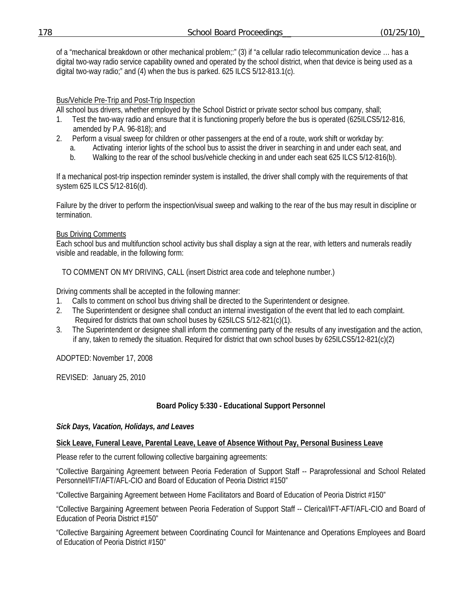of a "mechanical breakdown or other mechanical problem;:" (3) if "a cellular radio telecommunication device … has a digital two-way radio service capability owned and operated by the school district, when that device is being used as a digital two-way radio;" and (4) when the bus is parked. 625 ILCS 5/12-813.1(c).

# Bus/Vehicle Pre-Trip and Post-Trip Inspection

All school bus drivers, whether employed by the School District or private sector school bus company, shall;

- 1. Test the two-way radio and ensure that it is functioning properly before the bus is operated (625ILCS5/12-816, amended by P.A. 96-818); and
- 2. Perform a visual sweep for children or other passengers at the end of a route, work shift or workday by:
	- a. Activating interior lights of the school bus to assist the driver in searching in and under each seat, and
	- b. Walking to the rear of the school bus/vehicle checking in and under each seat 625 ILCS 5/12-816(b).

If a mechanical post-trip inspection reminder system is installed, the driver shall comply with the requirements of that system 625 ILCS 5/12-816(d).

Failure by the driver to perform the inspection/visual sweep and walking to the rear of the bus may result in discipline or termination.

## Bus Driving Comments

Each school bus and multifunction school activity bus shall display a sign at the rear, with letters and numerals readily visible and readable, in the following form:

TO COMMENT ON MY DRIVING, CALL (insert District area code and telephone number.)

Driving comments shall be accepted in the following manner:

- 1. Calls to comment on school bus driving shall be directed to the Superintendent or designee.
- 2. The Superintendent or designee shall conduct an internal investigation of the event that led to each complaint. Required for districts that own school buses by 625ILCS 5/12-821(c)(1).
- 3. The Superintendent or designee shall inform the commenting party of the results of any investigation and the action, if any, taken to remedy the situation. Required for district that own school buses by 625ILCS5/12-821(c)(2)

ADOPTED: November 17, 2008

REVISED: January 25, 2010

## **Board Policy 5:330 - Educational Support Personnel**

## *Sick Days, Vacation, Holidays, and Leaves*

## **Sick Leave, Funeral Leave, Parental Leave, Leave of Absence Without Pay, Personal Business Leave**

Please refer to the current following collective bargaining agreements:

"Collective Bargaining Agreement between Peoria Federation of Support Staff -- Paraprofessional and School Related Personnel/IFT/AFT/AFL-CIO and Board of Education of Peoria District #150"

"Collective Bargaining Agreement between Home Facilitators and Board of Education of Peoria District #150"

"Collective Bargaining Agreement between Peoria Federation of Support Staff -- Clerical/IFT-AFT/AFL-CIO and Board of Education of Peoria District #150"

"Collective Bargaining Agreement between Coordinating Council for Maintenance and Operations Employees and Board of Education of Peoria District #150"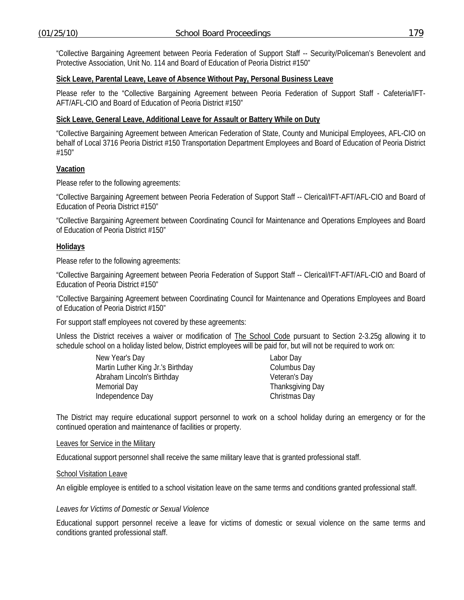"Collective Bargaining Agreement between Peoria Federation of Support Staff -- Security/Policeman's Benevolent and Protective Association, Unit No. 114 and Board of Education of Peoria District #150"

#### **Sick Leave, Parental Leave, Leave of Absence Without Pay, Personal Business Leave**

Please refer to the "Collective Bargaining Agreement between Peoria Federation of Support Staff - Cafeteria/IFT-AFT/AFL-CIO and Board of Education of Peoria District #150"

### **Sick Leave, General Leave, Additional Leave for Assault or Battery While on Duty**

"Collective Bargaining Agreement between American Federation of State, County and Municipal Employees, AFL-CIO on behalf of Local 3716 Peoria District #150 Transportation Department Employees and Board of Education of Peoria District #150"

### **Vacation**

Please refer to the following agreements:

"Collective Bargaining Agreement between Peoria Federation of Support Staff -- Clerical/IFT-AFT/AFL-CIO and Board of Education of Peoria District #150"

"Collective Bargaining Agreement between Coordinating Council for Maintenance and Operations Employees and Board of Education of Peoria District #150"

#### **Holidays**

Please refer to the following agreements:

"Collective Bargaining Agreement between Peoria Federation of Support Staff -- Clerical/IFT-AFT/AFL-CIO and Board of Education of Peoria District #150"

"Collective Bargaining Agreement between Coordinating Council for Maintenance and Operations Employees and Board of Education of Peoria District #150"

For support staff employees not covered by these agreements:

Unless the District receives a waiver or modification of **The School Code** pursuant to Section 2-3.25g allowing it to schedule school on a holiday listed below, District employees will be paid for, but will not be required to work on:

| New Year's Day                    | Labor Day        |  |
|-----------------------------------|------------------|--|
| Martin Luther King Jr.'s Birthday | Columbus Day     |  |
| Abraham Lincoln's Birthday        | Veteran's Day    |  |
| Memorial Day                      | Thanksgiving Day |  |
| Independence Day                  | Christmas Day    |  |

The District may require educational support personnel to work on a school holiday during an emergency or for the continued operation and maintenance of facilities or property.

#### Leaves for Service in the Military

Educational support personnel shall receive the same military leave that is granted professional staff.

#### School Visitation Leave

An eligible employee is entitled to a school visitation leave on the same terms and conditions granted professional staff.

#### *Leaves for Victims of Domestic or Sexual Violence*

Educational support personnel receive a leave for victims of domestic or sexual violence on the same terms and conditions granted professional staff.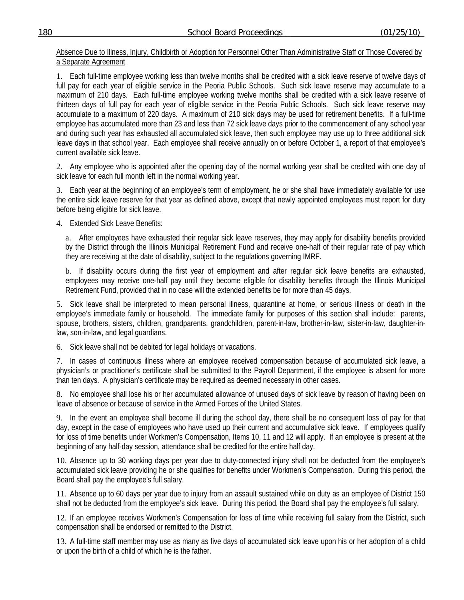Absence Due to Illness, Injury, Childbirth or Adoption for Personnel Other Than Administrative Staff or Those Covered by a Separate Agreement

1. Each full-time employee working less than twelve months shall be credited with a sick leave reserve of twelve days of full pay for each year of eligible service in the Peoria Public Schools. Such sick leave reserve may accumulate to a maximum of 210 days. Each full-time employee working twelve months shall be credited with a sick leave reserve of thirteen days of full pay for each year of eligible service in the Peoria Public Schools. Such sick leave reserve may accumulate to a maximum of 220 days. A maximum of 210 sick days may be used for retirement benefits. If a full-time employee has accumulated more than 23 and less than 72 sick leave days prior to the commencement of any school year and during such year has exhausted all accumulated sick leave, then such employee may use up to three additional sick leave days in that school year. Each employee shall receive annually on or before October 1, a report of that employee's current available sick leave.

2. Any employee who is appointed after the opening day of the normal working year shall be credited with one day of sick leave for each full month left in the normal working year.

3. Each year at the beginning of an employee's term of employment, he or she shall have immediately available for use the entire sick leave reserve for that year as defined above, except that newly appointed employees must report for duty before being eligible for sick leave.

4. Extended Sick Leave Benefits:

a. After employees have exhausted their regular sick leave reserves, they may apply for disability benefits provided by the District through the Illinois Municipal Retirement Fund and receive one-half of their regular rate of pay which they are receiving at the date of disability, subject to the regulations governing IMRF.

b. If disability occurs during the first year of employment and after regular sick leave benefits are exhausted, employees may receive one-half pay until they become eligible for disability benefits through the Illinois Municipal Retirement Fund, provided that in no case will the extended benefits be for more than 45 days.

5. Sick leave shall be interpreted to mean personal illness, quarantine at home, or serious illness or death in the employee's immediate family or household. The immediate family for purposes of this section shall include: parents, spouse, brothers, sisters, children, grandparents, grandchildren, parent-in-law, brother-in-law, sister-in-law, daughter-inlaw, son-in-law, and legal guardians.

6. Sick leave shall not be debited for legal holidays or vacations.

7. In cases of continuous illness where an employee received compensation because of accumulated sick leave, a physician's or practitioner's certificate shall be submitted to the Payroll Department, if the employee is absent for more than ten days. A physician's certificate may be required as deemed necessary in other cases.

8. No employee shall lose his or her accumulated allowance of unused days of sick leave by reason of having been on leave of absence or because of service in the Armed Forces of the United States.

9. In the event an employee shall become ill during the school day, there shall be no consequent loss of pay for that day, except in the case of employees who have used up their current and accumulative sick leave. If employees qualify for loss of time benefits under Workmen's Compensation, Items 10, 11 and 12 will apply. If an employee is present at the beginning of any half-day session, attendance shall be credited for the entire half day.

10. Absence up to 30 working days per year due to duty-connected injury shall not be deducted from the employee's accumulated sick leave providing he or she qualifies for benefits under Workmen's Compensation. During this period, the Board shall pay the employee's full salary.

11. Absence up to 60 days per year due to injury from an assault sustained while on duty as an employee of District 150 shall not be deducted from the employee's sick leave. During this period, the Board shall pay the employee's full salary.

12. If an employee receives Workmen's Compensation for loss of time while receiving full salary from the District, such compensation shall be endorsed or remitted to the District.

13. A full-time staff member may use as many as five days of accumulated sick leave upon his or her adoption of a child or upon the birth of a child of which he is the father.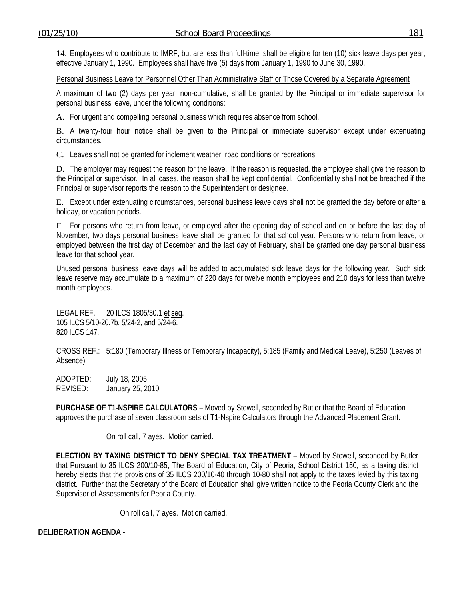14. Employees who contribute to IMRF, but are less than full-time, shall be eligible for ten (10) sick leave days per year, effective January 1, 1990. Employees shall have five (5) days from January 1, 1990 to June 30, 1990.

Personal Business Leave for Personnel Other Than Administrative Staff or Those Covered by a Separate Agreement

A maximum of two (2) days per year, non-cumulative, shall be granted by the Principal or immediate supervisor for personal business leave, under the following conditions:

A. For urgent and compelling personal business which requires absence from school.

B. A twenty-four hour notice shall be given to the Principal or immediate supervisor except under extenuating circumstances.

C. Leaves shall not be granted for inclement weather, road conditions or recreations.

D. The employer may request the reason for the leave. If the reason is requested, the employee shall give the reason to the Principal or supervisor. In all cases, the reason shall be kept confidential. Confidentiality shall not be breached if the Principal or supervisor reports the reason to the Superintendent or designee.

E. Except under extenuating circumstances, personal business leave days shall not be granted the day before or after a holiday, or vacation periods.

F. For persons who return from leave, or employed after the opening day of school and on or before the last day of November, two days personal business leave shall be granted for that school year. Persons who return from leave, or employed between the first day of December and the last day of February, shall be granted one day personal business leave for that school year.

Unused personal business leave days will be added to accumulated sick leave days for the following year. Such sick leave reserve may accumulate to a maximum of 220 days for twelve month employees and 210 days for less than twelve month employees.

LEGAL REF.: 20 ILCS 1805/30.1 et seq. 105 ILCS 5/10-20.7b, 5/24-2, and 5/24-6. 820 ILCS 147.

CROSS REF.: 5:180 (Temporary Illness or Temporary Incapacity), 5:185 (Family and Medical Leave), 5:250 (Leaves of Absence)

ADOPTED: July 18, 2005 REVISED: January 25, 2010

**PURCHASE OF T1-NSPIRE CALCULATORS –** Moved by Stowell, seconded by Butler that the Board of Education approves the purchase of seven classroom sets of T1-Nspire Calculators through the Advanced Placement Grant.

On roll call, 7 ayes. Motion carried.

**ELECTION BY TAXING DISTRICT TO DENY SPECIAL TAX TREATMENT** – Moved by Stowell, seconded by Butler that Pursuant to 35 ILCS 200/10-85, The Board of Education, City of Peoria, School District 150, as a taxing district hereby elects that the provisions of 35 ILCS 200/10-40 through 10-80 shall not apply to the taxes levied by this taxing district. Further that the Secretary of the Board of Education shall give written notice to the Peoria County Clerk and the Supervisor of Assessments for Peoria County.

On roll call, 7 ayes. Motion carried.

**DELIBERATION AGENDA** -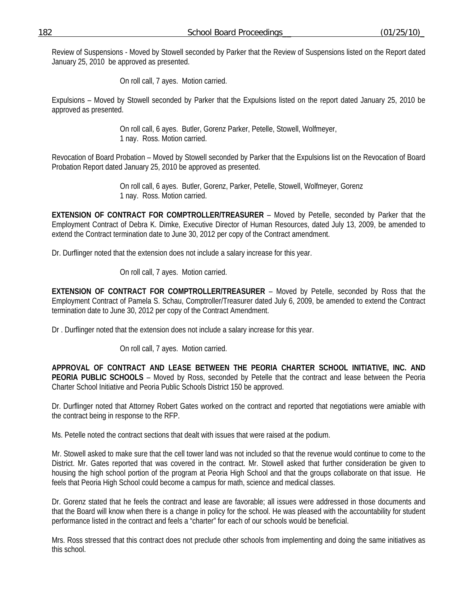Review of Suspensions - Moved by Stowell seconded by Parker that the Review of Suspensions listed on the Report dated January 25, 2010 be approved as presented.

On roll call, 7 ayes. Motion carried.

Expulsions – Moved by Stowell seconded by Parker that the Expulsions listed on the report dated January 25, 2010 be approved as presented.

> On roll call, 6 ayes. Butler, Gorenz Parker, Petelle, Stowell, Wolfmeyer, 1 nay. Ross. Motion carried.

Revocation of Board Probation – Moved by Stowell seconded by Parker that the Expulsions list on the Revocation of Board Probation Report dated January 25, 2010 be approved as presented.

> On roll call, 6 ayes. Butler, Gorenz, Parker, Petelle, Stowell, Wolfmeyer, Gorenz 1 nay. Ross. Motion carried.

**EXTENSION OF CONTRACT FOR COMPTROLLER/TREASURER** – Moved by Petelle, seconded by Parker that the Employment Contract of Debra K. Dimke, Executive Director of Human Resources, dated July 13, 2009, be amended to extend the Contract termination date to June 30, 2012 per copy of the Contract amendment.

Dr. Durflinger noted that the extension does not include a salary increase for this year.

On roll call, 7 ayes. Motion carried.

**EXTENSION OF CONTRACT FOR COMPTROLLER/TREASURER** – Moved by Petelle, seconded by Ross that the Employment Contract of Pamela S. Schau, Comptroller/Treasurer dated July 6, 2009, be amended to extend the Contract termination date to June 30, 2012 per copy of the Contract Amendment.

Dr . Durflinger noted that the extension does not include a salary increase for this year.

On roll call, 7 ayes. Motion carried.

**APPROVAL OF CONTRACT AND LEASE BETWEEN THE PEORIA CHARTER SCHOOL INITIATIVE, INC. AND PEORIA PUBLIC SCHOOLS** – Moved by Ross, seconded by Petelle that the contract and lease between the Peoria Charter School Initiative and Peoria Public Schools District 150 be approved.

Dr. Durflinger noted that Attorney Robert Gates worked on the contract and reported that negotiations were amiable with the contract being in response to the RFP.

Ms. Petelle noted the contract sections that dealt with issues that were raised at the podium.

Mr. Stowell asked to make sure that the cell tower land was not included so that the revenue would continue to come to the District. Mr. Gates reported that was covered in the contract. Mr. Stowell asked that further consideration be given to housing the high school portion of the program at Peoria High School and that the groups collaborate on that issue. He feels that Peoria High School could become a campus for math, science and medical classes.

Dr. Gorenz stated that he feels the contract and lease are favorable; all issues were addressed in those documents and that the Board will know when there is a change in policy for the school. He was pleased with the accountability for student performance listed in the contract and feels a "charter" for each of our schools would be beneficial.

Mrs. Ross stressed that this contract does not preclude other schools from implementing and doing the same initiatives as this school.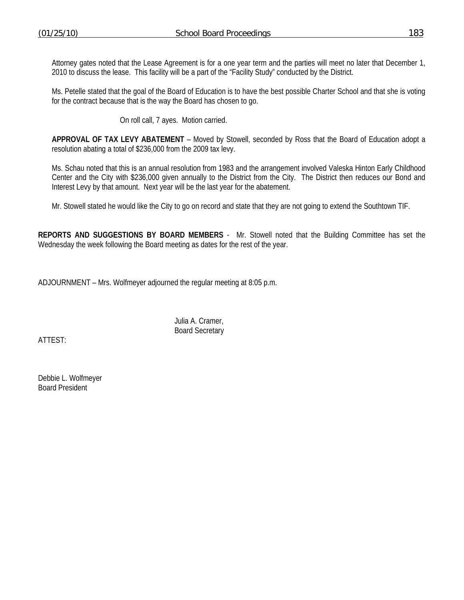Attorney gates noted that the Lease Agreement is for a one year term and the parties will meet no later that December 1, 2010 to discuss the lease. This facility will be a part of the "Facility Study" conducted by the District.

Ms. Petelle stated that the goal of the Board of Education is to have the best possible Charter School and that she is voting for the contract because that is the way the Board has chosen to go.

On roll call, 7 ayes. Motion carried.

**APPROVAL OF TAX LEVY ABATEMENT** – Moved by Stowell, seconded by Ross that the Board of Education adopt a resolution abating a total of \$236,000 from the 2009 tax levy.

Ms. Schau noted that this is an annual resolution from 1983 and the arrangement involved Valeska Hinton Early Childhood Center and the City with \$236,000 given annually to the District from the City. The District then reduces our Bond and Interest Levy by that amount. Next year will be the last year for the abatement.

Mr. Stowell stated he would like the City to go on record and state that they are not going to extend the Southtown TIF.

**REPORTS AND SUGGESTIONS BY BOARD MEMBERS** - Mr. Stowell noted that the Building Committee has set the Wednesday the week following the Board meeting as dates for the rest of the year.

ADJOURNMENT – Mrs. Wolfmeyer adjourned the regular meeting at 8:05 p.m.

 Julia A. Cramer, Board Secretary

ATTEST:

Debbie L. Wolfmeyer Board President